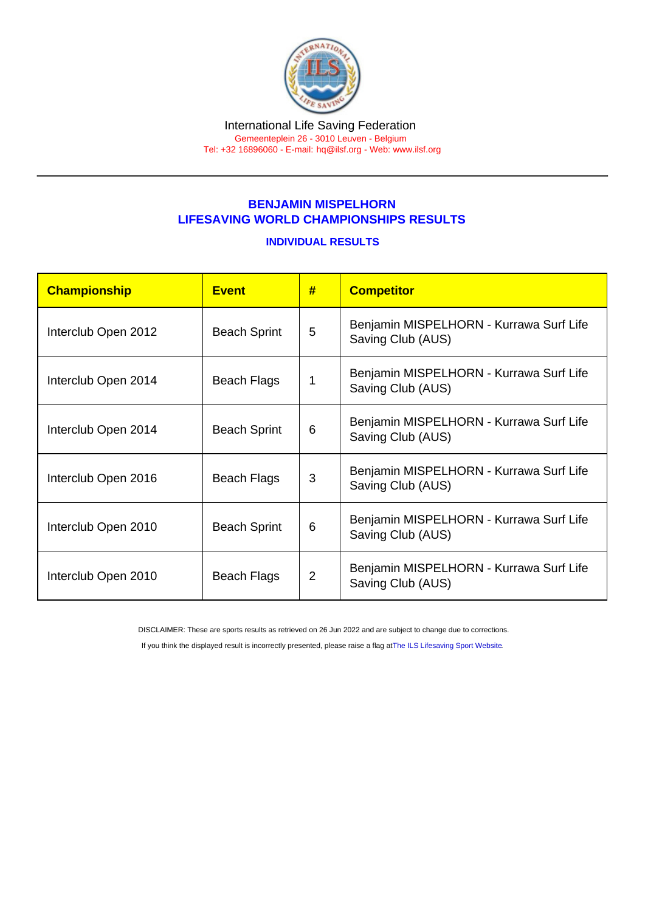## BENJAMIN MISPELHORN LIFESAVING WORLD CHAMPIONSHIPS RESULTS

## INDIVIDUAL RESULTS

| Championship        | <b>Event</b>        | # | <b>Competitor</b>                                            |
|---------------------|---------------------|---|--------------------------------------------------------------|
| Interclub Open 2012 | <b>Beach Sprint</b> | 5 | Benjamin MISPELHORN - Kurrawa Surf Life<br>Saving Club (AUS) |
| Interclub Open 2014 | Beach Flags         |   | Benjamin MISPELHORN - Kurrawa Surf Life<br>Saving Club (AUS) |
| Interclub Open 2014 | <b>Beach Sprint</b> | 6 | Benjamin MISPELHORN - Kurrawa Surf Life<br>Saving Club (AUS) |
| Interclub Open 2016 | Beach Flags         | 3 | Benjamin MISPELHORN - Kurrawa Surf Life<br>Saving Club (AUS) |
| Interclub Open 2010 | <b>Beach Sprint</b> | 6 | Benjamin MISPELHORN - Kurrawa Surf Life<br>Saving Club (AUS) |
| Interclub Open 2010 | Beach Flags         | 2 | Benjamin MISPELHORN - Kurrawa Surf Life<br>Saving Club (AUS) |

DISCLAIMER: These are sports results as retrieved on 26 Jun 2022 and are subject to change due to corrections.

If you think the displayed result is incorrectly presented, please raise a flag at [The ILS Lifesaving Sport Website.](https://sport.ilsf.org)